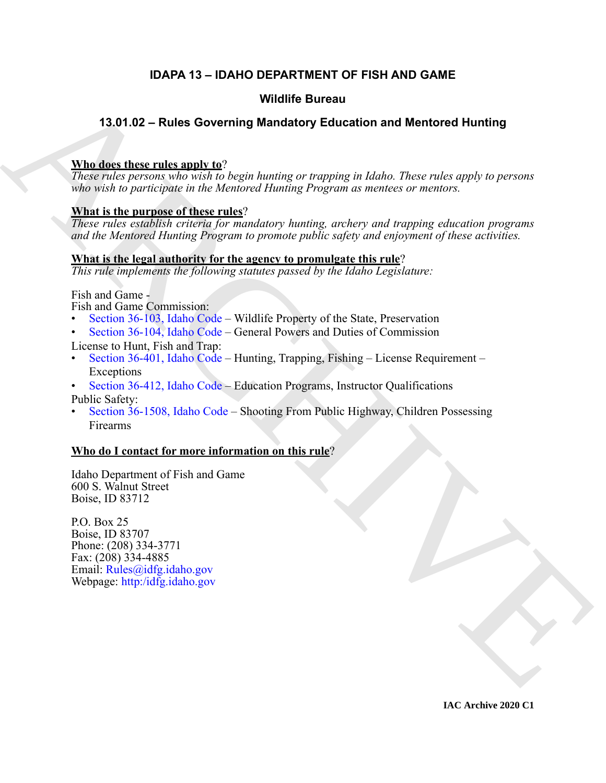# **IDAPA 13 – IDAHO DEPARTMENT OF FISH AND GAME**

# **Wildlife Bureau**

# **13.01.02 – Rules Governing Mandatory Education and Mentored Hunting**

## **Who does these rules apply to**?

*These rules persons who wish to begin hunting or trapping in Idaho. These rules apply to persons who wish to participate in the Mentored Hunting Program as mentees or mentors.*

### **What is the purpose of these rules**?

Wildlife Bureau<br>
Wildlife Bureau<br>
Mandatory Education and Mentored Hunting<br>
These relationships procedure the relationship of the properties in the complete the<br>
These relationships the interval Hendric Transmission of the *These rules establish criteria for mandatory hunting, archery and trapping education programs and the Mentored Hunting Program to promote public safety and enjoyment of these activities.*

### **What is the legal authority for the agency to promulgate this rule**?

*This rule implements the following statutes passed by the Idaho Legislature:*

Fish and Game -

Fish and Game Commission:

- Section 36-103, Idaho Code Wildlife Property of the State, Preservation
- Section 36-104, Idaho Code General Powers and Duties of Commission

License to Hunt, Fish and Trap:

- Section 36-401, Idaho Code Hunting, Trapping, Fishing License Requirement Exceptions
- Section 36-412, Idaho Code Education Programs, Instructor Qualifications

Public Safety:

• Section 36-1508, Idaho Code – Shooting From Public Highway, Children Possessing Firearms

# **Who do I contact for more information on this rule**?

Idaho Department of Fish and Game 600 S. Walnut Street Boise, ID 83712

P.O. Box 25 Boise, ID 83707 Phone: (208) 334-3771 Fax: (208) 334-4885 Email: Rules@idfg.idaho.gov Webpage: http:/idfg.idaho.gov

**IAC Archive 2020 C1**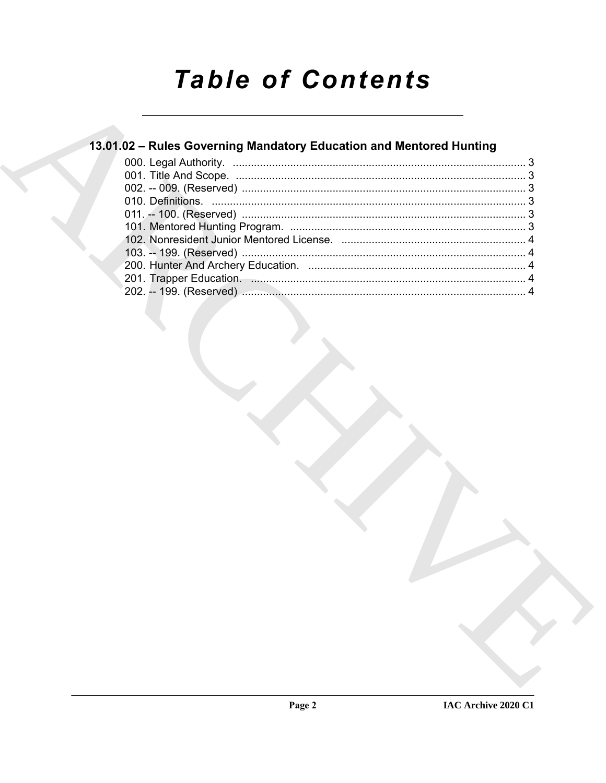# **Table of Contents**

# 13.01.02 - Rules Governing Mandatory Education and Mentored Hunting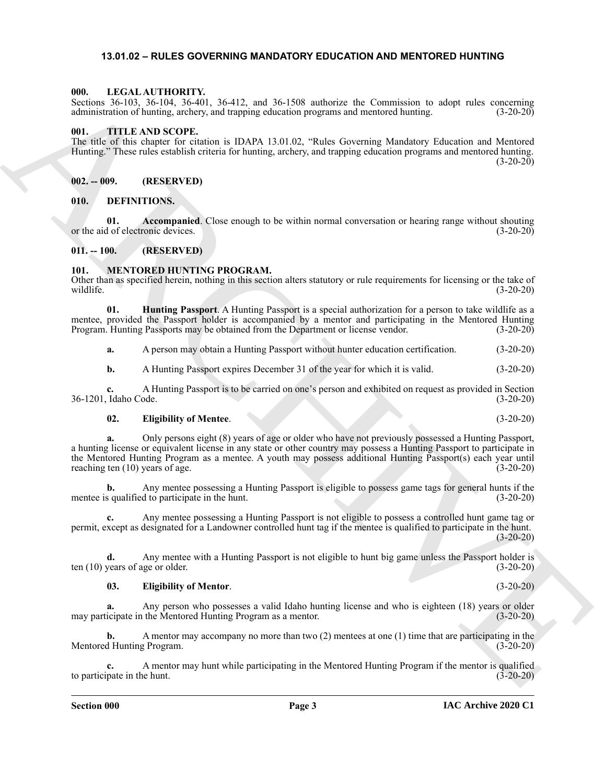#### <span id="page-2-9"></span><span id="page-2-0"></span>**13.01.02 – RULES GOVERNING MANDATORY EDUCATION AND MENTORED HUNTING**

#### <span id="page-2-1"></span>**000. LEGAL AUTHORITY.**

Sections 36-103, 36-104, 36-401, 36-412, and 36-1508 authorize the Commission to adopt rules concerning administration of hunting, archery, and trapping education programs and mentored hunting. (3-20-20)

#### <span id="page-2-14"></span><span id="page-2-2"></span>**001. TITLE AND SCOPE.**

The title of this chapter for citation is IDAPA 13.01.02, "Rules Governing Mandatory Education and Mentored Hunting." These rules establish criteria for hunting, archery, and trapping education programs and mentored hunting.  $(3-20-20)$ 

#### <span id="page-2-3"></span>**002. -- 009. (RESERVED)**

#### <span id="page-2-7"></span><span id="page-2-4"></span>**010. DEFINITIONS.**

<span id="page-2-8"></span>**01. Accompanied**. Close enough to be within normal conversation or hearing range without shouting or the aid of electronic devices.  $(3-20-20)$ 

#### <span id="page-2-5"></span>**011. -- 100. (RESERVED)**

#### <span id="page-2-10"></span><span id="page-2-6"></span>**101. MENTORED HUNTING PROGRAM.**

Other than as specified herein, nothing in this section alters statutory or rule requirements for licensing or the take of wildlife. (3-20-20)

**01. Hunting Passport**. A Hunting Passport is a special authorization for a person to take wildlife as a mentee, provided the Passport holder is accompanied by a mentor and participating in the Mentored Hunting Program. Hunting Passports may be obtained from the Department or license vendor. (3-20-20)

<span id="page-2-13"></span>**a.** A person may obtain a Hunting Passport without hunter education certification. (3-20-20)

**b.** A Hunting Passport expires December 31 of the year for which it is valid.  $(3-20-20)$ 

**c.** A Hunting Passport is to be carried on one's person and exhibited on request as provided in Section 36-1201, Idaho Code. (3-20-20)

#### <span id="page-2-11"></span>**02. Eligibility of Mentee**. (3-20-20)

600. Units (Exchange Theorem is focally as the sixtend model of the matter in eq. (Exchange Theorem in the sixtend model of the sixtend model of the sixtend model of the sixtend model of the sixtend model of the sixtend **a.** Only persons eight (8) years of age or older who have not previously possessed a Hunting Passport, a hunting license or equivalent license in any state or other country may possess a Hunting Passport to participate in the Mentored Hunting Program as a mentee. A youth may possess additional Hunting Passport(s) each year until reaching ten (10) years of age. (3-20-20)

**b.** Any mentee possessing a Hunting Passport is eligible to possess game tags for general hunts if the mentee is qualified to participate in the hunt. (3-20-20)

**c.** Any mentee possessing a Hunting Passport is not eligible to possess a controlled hunt game tag or permit, except as designated for a Landowner controlled hunt tag if the mentee is qualified to participate in the hunt.  $(3-20-20)$ 

**d.** Any mentee with a Hunting Passport is not eligible to hunt big game unless the Passport holder is years of age or older. (3-20-20) ten  $(10)$  years of age or older.

#### <span id="page-2-12"></span>**03. Eligibility of Mentor**. (3-20-20)

**a.** Any person who possesses a valid Idaho hunting license and who is eighteen (18) years or older may participate in the Mentored Hunting Program as a mentor. (3-20-20)

**b.** A mentor may accompany no more than two (2) mentees at one (1) time that are participating in the Mentored Hunting Program. (3-20-20)

**c.** A mentor may hunt while participating in the Mentored Hunting Program if the mentor is qualified to participate in the hunt. (3-20-20)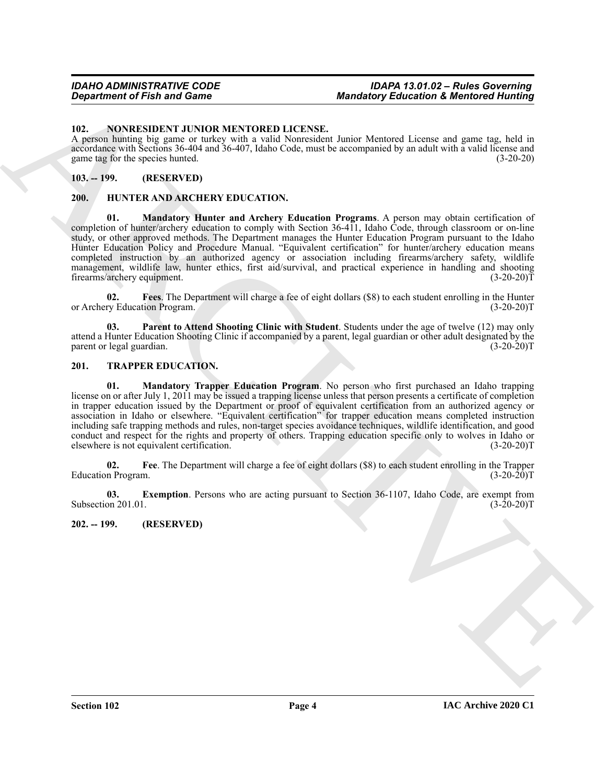#### <span id="page-3-9"></span><span id="page-3-0"></span>**102. NONRESIDENT JUNIOR MENTORED LICENSE.**

A person hunting big game or turkey with a valid Nonresident Junior Mentored License and game tag, held in accordance with Sections 36-404 and 36-407, Idaho Code, must be accompanied by an adult with a valid license and game tag for the species hunted. (3-20-20)

#### <span id="page-3-1"></span>**103. -- 199. (RESERVED)**

#### <span id="page-3-7"></span><span id="page-3-5"></span><span id="page-3-2"></span>**200. HUNTER AND ARCHERY EDUCATION.**

**01. Mandatory Hunter and Archery Education Programs**. A person may obtain certification of completion of hunter/archery education to comply with Section 36-411, Idaho Code, through classroom or on-line study, or other approved methods. The Department manages the Hunter Education Program pursuant to the Idaho Hunter Education Policy and Procedure Manual. "Equivalent certification" for hunter/archery education means completed instruction by an authorized agency or association including firearms/archery safety, wildlife management, wildlife law, hunter ethics, first aid/survival, and practical experience in handling and shooting firearms/archery equipment. (3-20-20) firearms/archery equipment.

<span id="page-3-6"></span>**02. Fees**. The Department will charge a fee of eight dollars (\$8) to each student enrolling in the Hunter or Archery Education Program. (3-20-20)T

<span id="page-3-8"></span>**03. Parent to Attend Shooting Clinic with Student**. Students under the age of twelve (12) may only attend a Hunter Education Shooting Clinic if accompanied by a parent, legal guardian or other adult designated by the parent or legal guardian. (3-20-20)T

#### <span id="page-3-13"></span><span id="page-3-10"></span><span id="page-3-3"></span>**201. TRAPPER EDUCATION.**

**Equation of Fish and Game 6. Mondatory Education & Membership is the control of the state of the state of the state of the state of the state of the state of the state of the state of the state of the state of the stat 01. Mandatory Trapper Education Program**. No person who first purchased an Idaho trapping license on or after July 1, 2011 may be issued a trapping license unless that person presents a certificate of completion in trapper education issued by the Department or proof of equivalent certification from an authorized agency or association in Idaho or elsewhere. "Equivalent certification" for trapper education means completed instruction including safe trapping methods and rules, non-target species avoidance techniques, wildlife identification, and good conduct and respect for the rights and property of others. Trapping education specific only to wolves in Idaho or elsewhere is not equivalent certification. (3-20-20)T

<span id="page-3-12"></span>**02.** Fee. The Department will charge a fee of eight dollars (\$8) to each student enrolling in the Trapper n Program. (3-20-20) Education Program.

<span id="page-3-11"></span>**03.** Exemption. Persons who are acting pursuant to Section 36-1107, Idaho Code, are exempt from on 201.01. (3-20-20) Subsection 201.01.

#### <span id="page-3-4"></span>**202. -- 199. (RESERVED)**